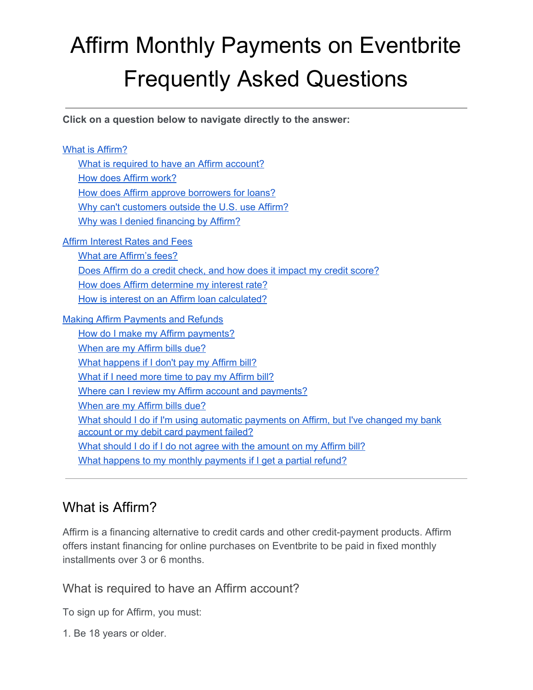# Affirm Monthly Payments on Eventbrite Frequently Asked Questions

**Click on a question below to navigate directly to the answer:**

What is [Affirm?](#page-0-0) What is required to have an Affirm [account?](#page-0-1) How does Affirm [work?](#page-1-0) How does Affirm approve [borrowers](#page-2-0) for loans? Why can't [customers](#page-3-0) outside the U.S. use Affirm? Why was I denied [financing](#page-3-1) by Affirm? Affirm [Interest](#page-3-2) Rates and Fees What are [Affirm's](#page-3-3) fees? Does Affirm do a credit check, and how does it impact my credit [score?](#page-3-4) How does Affirm [determine](#page-3-5) my interest rate? How is interest on an Affirm loan [calculated?](#page-3-6) Making Affirm [Payments](#page-4-0) and Refunds How do I make my Affirm [payments?](#page-4-1) [When](#page-4-2) are my Affirm bills due? What [happens](#page-4-3) if I don't pay my Affirm bill? What if I need more time to pay my [Affirm](#page-4-4) bill? Where can I review my Affirm account and [payments?](#page-5-0) [When](#page-5-1) are my Affirm bills due? What should I do if I'm using automatic [payments](#page-5-2) on Affirm, but I've changed my bank account or my debit card [payment](#page-5-2) failed? What should I do if I do not agree with the [amount](#page-5-3) on my Affirm bill? What happens to my monthly [payments](#page-5-4) if I get a partial refund?

### <span id="page-0-0"></span>What is Affirm?

Affirm is a financing alternative to credit cards and other credit-payment products. Affirm offers instant financing for online purchases on Eventbrite to be paid in fixed monthly installments over 3 or 6 months.

<span id="page-0-1"></span>What is required to have an Affirm account?

To sign up for Affirm, you must:

1. Be 18 years or older.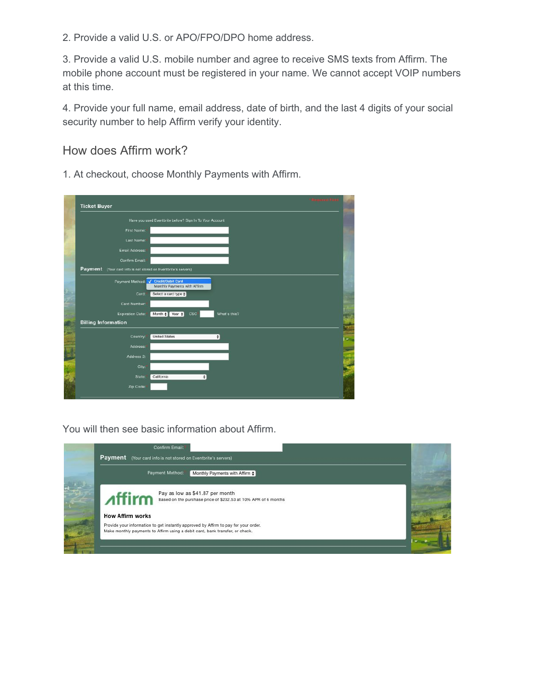2. Provide a valid U.S. or APO/FPO/DPO home address.

3. Provide a valid U.S. mobile number and agree to receive SMS texts from Affirm. The mobile phone account must be registered in your name. We cannot accept VOIP numbers at this time.

4. Provide your full name, email address, date of birth, and the last 4 digits of your social security number to help Affirm verify your identity.

<span id="page-1-0"></span>How does Affirm work?

1. At checkout, choose Monthly Payments with Affirm.

| <b>Ticket Buyer</b>        | + Rosewood Field                                               |
|----------------------------|----------------------------------------------------------------|
|                            | Have you used Eventbrite before? Sign In To Your Account       |
| First Name:                |                                                                |
| Last Name:                 |                                                                |
| Email Address:             |                                                                |
| Confirm Email:             |                                                                |
| Payment                    | (Your card info is not stored on Eventbrite's servers)         |
| Payment Method:            | √ Credit/Debit Card<br>Monthly Payments with Affirm            |
| Card:                      | Select a card type $\clubsuit$                                 |
| Card Number:               |                                                                |
| <b>Expiration Date:</b>    | What's this?<br>Month $\uparrow$ Year $\uparrow$<br><b>CSC</b> |
| <b>Billing Information</b> |                                                                |
| Country:                   | <b>United States</b><br>$\bullet$                              |
| Address:                   |                                                                |
| Address 2:                 |                                                                |
| City:                      |                                                                |
| State:                     | California<br>٠                                                |
| Zip Code:                  |                                                                |

You will then see basic information about Affirm.

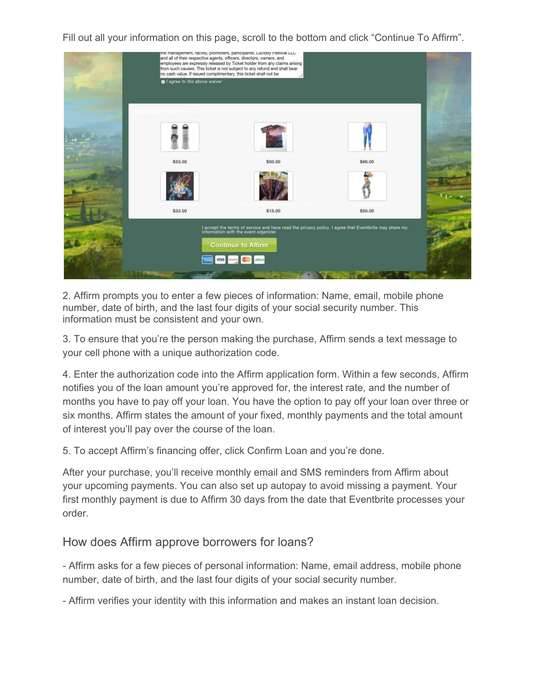Fill out all your information on this page, scroll to the bottom and click "Continue To Affirm".



2. Affirm prompts you to enter a few pieces of information: Name, email, mobile phone number, date of birth, and the last four digits of your social security number. This information must be consistent and your own.

3. To ensure that you're the person making the purchase, Affirm sends a text message to your cell phone with a unique authorization code.

4. Enter the authorization code into the Affirm application form. Within a few seconds, Affirm notifies you of the loan amount you're approved for, the interest rate, and the number of months you have to pay off your loan. You have the option to pay off your loan over three or six months. Affirm states the amount of your fixed, monthly payments and the total amount of interest you'll pay over the course of the loan.

5. To accept Affirm's financing offer, click Confirm Loan and you're done.

After your purchase, you'll receive monthly email and SMS reminders from Affirm about your upcoming payments. You can also set up autopay to avoid missing a payment. Your first monthly payment is due to Affirm 30 days from the date that Eventbrite processes your order.

### <span id="page-2-0"></span>How does Affirm approve borrowers for loans?

- Affirm asks for a few pieces of personal information: Name, email address, mobile phone number, date of birth, and the last four digits of your social security number.

- Affirm verifies your identity with this information and makes an instant loan decision.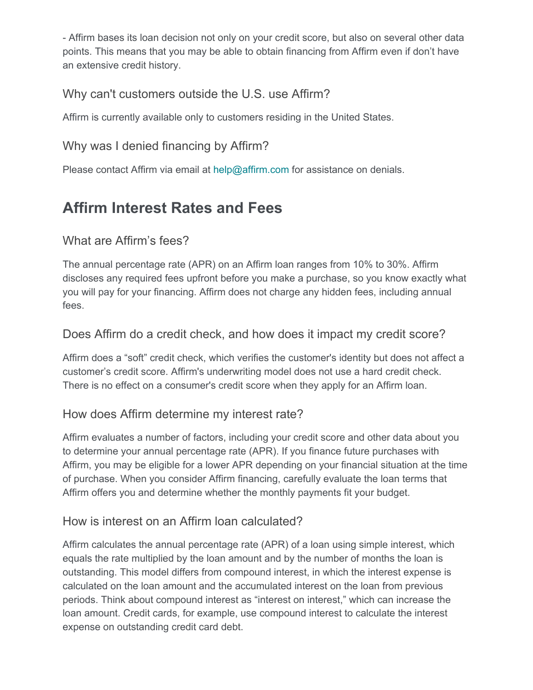- Affirm bases its loan decision not only on your credit score, but also on several other data points. This means that you may be able to obtain financing from Affirm even if don't have an extensive credit history.

### <span id="page-3-0"></span>Why can't customers outside the U.S. use Affirm?

Affirm is currently available only to customers residing in the United States.

### <span id="page-3-1"></span>Why was I denied financing by Affirm?

Please contact Affirm via email at help@affirm.com for assistance on denials.

## <span id="page-3-2"></span>**Affirm Interest Rates and Fees**

### <span id="page-3-3"></span>What are Affirm's fees?

The annual percentage rate (APR) on an Affirm loan ranges from 10% to 30%. Affirm discloses any required fees upfront before you make a purchase, so you know exactly what you will pay for your financing. Affirm does not charge any hidden fees, including annual fees.

### <span id="page-3-4"></span>Does Affirm do a credit check, and how does it impact my credit score?

Affirm does a "soft" credit check, which verifies the customer's identity but does not affect a customer's credit score. Affirm's underwriting model does not use a hard credit check. There is no effect on a consumer's credit score when they apply for an Affirm loan.

### <span id="page-3-5"></span>How does Affirm determine my interest rate?

Affirm evaluates a number of factors, including your credit score and other data about you to determine your annual percentage rate (APR). If you finance future purchases with Affirm, you may be eligible for a lower APR depending on your financial situation at the time of purchase. When you consider Affirm financing, carefully evaluate the loan terms that Affirm offers you and determine whether the monthly payments fit your budget.

### <span id="page-3-6"></span>How is interest on an Affirm loan calculated?

Affirm calculates the annual percentage rate (APR) of a loan using simple interest, which equals the rate multiplied by the loan amount and by the number of months the loan is outstanding. This model differs from compound interest, in which the interest expense is calculated on the loan amount and the accumulated interest on the loan from previous periods. Think about compound interest as "interest on interest," which can increase the loan amount. Credit cards, for example, use compound interest to calculate the interest expense on outstanding credit card debt.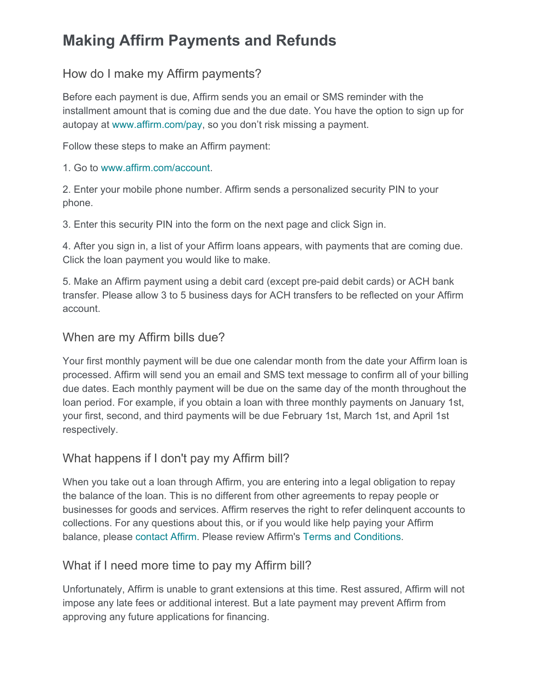## <span id="page-4-0"></span>**Making Affirm Payments and Refunds**

### <span id="page-4-1"></span>How do I make my Affirm payments?

Before each payment is due, Affirm sends you an email or SMS reminder with the installment amount that is coming due and the due date. You have the option to sign up for autopay at [www.affirm.com/pay](http://www.affirm.com/pay), so you don't risk missing a payment.

Follow these steps to make an Affirm payment:

1. Go to [www.affirm.com/account.](http://www.affirm.com/account)

2. Enter your mobile phone number. Affirm sends a personalized security PIN to your phone.

3. Enter this security PIN into the form on the next page and click Sign in.

4. After you sign in, a list of your Affirm loans appears, with payments that are coming due. Click the loan payment you would like to make.

5. Make an Affirm payment using a debit card (except pre-paid debit cards) or ACH bank transfer. Please allow 3 to 5 business days for ACH transfers to be reflected on your Affirm account.

### <span id="page-4-2"></span>When are my Affirm bills due?

Your first monthly payment will be due one calendar month from the date your Affirm loan is processed. Affirm will send you an email and SMS text message to confirm all of your billing due dates. Each monthly payment will be due on the same day of the month throughout the loan period. For example, if you obtain a loan with three monthly payments on January 1st, your first, second, and third payments will be due February 1st, March 1st, and April 1st respectively.

### <span id="page-4-3"></span>What happens if I don't pay my Affirm bill?

When you take out a loan through Affirm, you are entering into a legal obligation to repay the balance of the loan. This is no different from other agreements to repay people or businesses for goods and services. Affirm reserves the right to refer delinquent accounts to collections. For any questions about this, or if you would like help paying your Affirm balance, please [contact](http://www.affirm.com/contact) Affirm. Please review Affirm's Terms and [Conditions](https://www.affirm.com/terms/).

### <span id="page-4-4"></span>What if I need more time to pay my Affirm bill?

Unfortunately, Affirm is unable to grant extensions at this time. Rest assured, Affirm will not impose any late fees or additional interest. But a late payment may prevent Affirm from approving any future applications for financing.